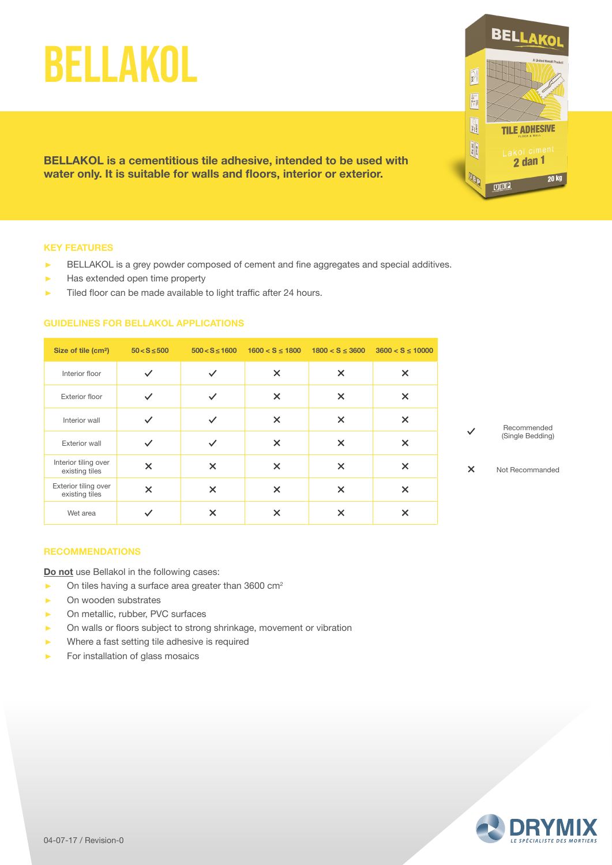# BELLAKOL

**BELLAKOL is a cementitious tile adhesive, intended to be used with water only. It is suitable for walls and floors, interior or exterior.**

#### **KEY FEATURES**

- ▶ BELLAKOL is a grey powder composed of cement and fine aggregates and special additives.
- $\blacktriangleright$  Has extended open time property
- ▶ Tiled floor can be made available to light traffic after 24 hours.

# **GUIDELINES FOR BELLAKOL APPLICATIONS**

| Size of tile (cm <sup>2</sup> )        | $50 < S \le 500$          | $500 < S \le 1600$ |          | $1600 < S \le 1800$ $1800 < S \le 3600$ | $3600 < S \le 10000$ |
|----------------------------------------|---------------------------|--------------------|----------|-----------------------------------------|----------------------|
| Interior floor                         |                           | $\checkmark$       | $\times$ | $\times$                                | $\times$             |
| <b>Exterior floor</b>                  |                           |                    | $\times$ | $\times$                                | $\times$             |
| Interior wall                          |                           |                    | $\times$ | $\times$                                | $\times$             |
| <b>Exterior wall</b>                   |                           |                    | $\times$ | $\times$                                | ×                    |
| Interior tiling over<br>existing tiles | $\boldsymbol{\mathsf{x}}$ | $\times$           | X        | $\times$                                | $\times$             |
| Exterior tiling over<br>existing tiles | $\boldsymbol{\times}$     | $\times$           | $\times$ | $\times$                                | $\times$             |
| Wet area                               |                           | X                  | ×        | ×                                       | X                    |



**BELLAKO** 

**TILE ADHESIVE** 

Lakol ciment<br>2 dan 1

**20 kg** 

P

**Ester** 

 $\boxed{\underbrace{\bigcirc_{\mathbf{PRT}}^{\mathbf{PRT}}}_{2^{2^{n}}}}$ 

 $\frac{1}{\left|\frac{1}{2 \cos \theta}\right|}$ 

**OBD** 

Not Recommanded $\overline{\mathbf{x}}$ 

### **RECOMMENDATIONS**

**Do not** use Bellakol in the following cases:

- $\triangleright$  On tiles having a surface area greater than 3600 cm<sup>2</sup>
- On wooden substrates
- ▶ On metallic, rubber, PVC surfaces
- ▶ On walls or floors subject to strong shrinkage, movement or vibration
- ࢝ Where a fast setting tile adhesive is required
- $\blacktriangleright$  For installation of glass mosaics

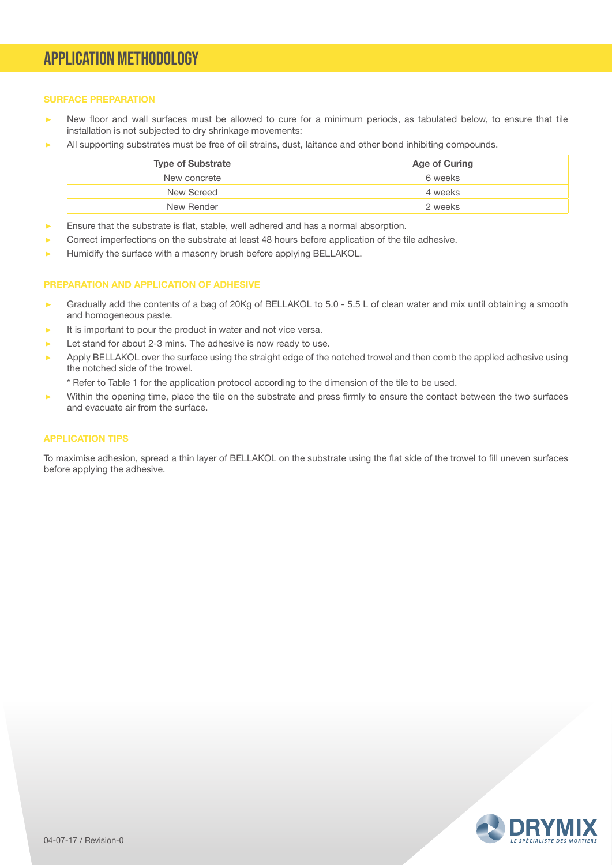# APPLICATION METHODOLOGY

# **SURFACE PREPARATION**

- New floor and wall surfaces must be allowed to cure for a minimum periods, as tabulated below, to ensure that tile installation is not subjected to dry shrinkage movements:
- All supporting substrates must be free of oil strains, dust, laitance and other bond inhibiting compounds.

| <b>Type of Substrate</b> | Age of Curing |  |  |
|--------------------------|---------------|--|--|
| New concrete             | 6 weeks       |  |  |
| New Screed               | 4 weeks       |  |  |
| New Render               | 2 weeks       |  |  |

- Ensure that the substrate is flat, stable, well adhered and has a normal absorption.
- ࢝ Correct imperfections on the substrate at least 48 hours before application of the tile adhesive.
- Humidify the surface with a masonry brush before applying BELLAKOL.

#### **PREPARATION AND APPLICATION OF ADHESIVE**

- ► Gradually add the contents of a bag of 20Kg of BELLAKOL to 5.0 5.5 L of clean water and mix until obtaining a smooth and homogeneous paste.
- It is important to pour the product in water and not vice versa.
- $\blacktriangleright$  Let stand for about 2-3 mins. The adhesive is now ready to use.
- Apply BELLAKOL over the surface using the straight edge of the notched trowel and then comb the applied adhesive using the notched side of the trowel.
	- \* Refer to Table 1 for the application protocol according to the dimension of the tile to be used.
- ࢝ Within the opening time, place the tile on the substrate and press firmly to ensure the contact between the two surfaces and evacuate air from the surface.

## **APPLICATION TIPS**

To maximise adhesion, spread a thin layer of BELLAKOL on the substrate using the flat side of the trowel to fill uneven surfaces before applying the adhesive.

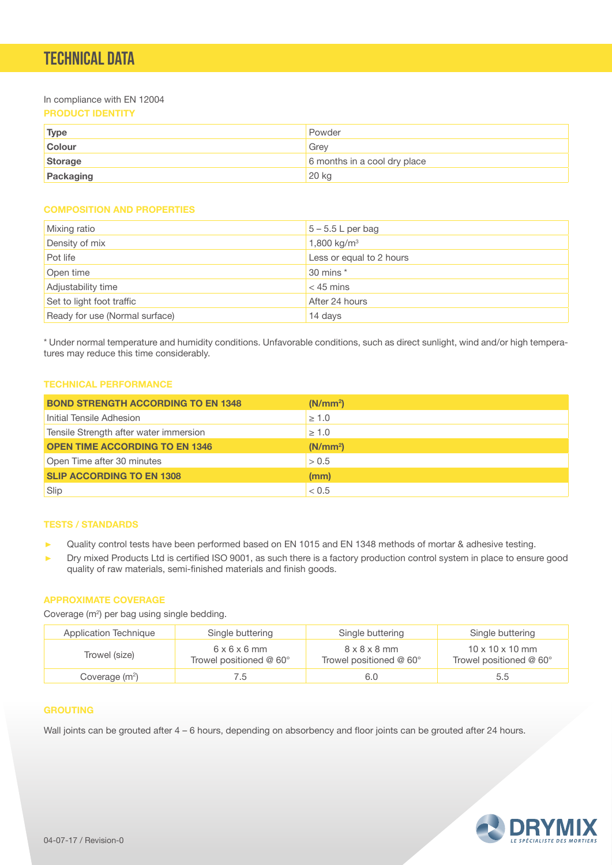# TECHNICAL DATA

In compliance with EN 12004

# **PRODUCT IDENTITY**

| <b>Type</b>   | Powder                       |
|---------------|------------------------------|
| <b>Colour</b> | Grev                         |
| Storage       | 6 months in a cool dry place |
| Packaging     | 20 kg                        |

# **COMPOSITION AND PROPERTIES**

| <b>Mixing ratio</b>            | $5 - 5.5$ L per bag      |
|--------------------------------|--------------------------|
| Density of mix                 | 1,800 kg/ $m^3$          |
| Pot life                       | Less or equal to 2 hours |
| Open time                      | 30 mins *                |
| Adjustability time             | $<$ 45 mins              |
| Set to light foot traffic      | After 24 hours           |
| Ready for use (Normal surface) | 14 days                  |

\* Under normal temperature and humidity conditions. Unfavorable conditions, such as direct sunlight, wind and/or high temperatures may reduce this time considerably.

# **TECHNICAL PERFORMANCE**

| <b>BOND STRENGTH ACCORDING TO EN 1348</b> | (N/mm <sup>2</sup> ) |
|-------------------------------------------|----------------------|
| Initial Tensile Adhesion                  | $\geq 1.0$           |
| Tensile Strength after water immersion    | $\geq 1.0$           |
| <b>OPEN TIME ACCORDING TO EN 1346</b>     | (N/mm <sup>2</sup> ) |
| Open Time after 30 minutes                | > 0.5                |
| <b>SLIP ACCORDING TO EN 1308</b>          | (mm)                 |
| Slip                                      | < 0.5                |

# **TESTS / STANDARDS**

- ▶ Quality control tests have been performed based on EN 1015 and EN 1348 methods of mortar & adhesive testing.
- ▶ Dry mixed Products Ltd is certified ISO 9001, as such there is a factory production control system in place to ensure good quality of raw materials, semi-finished materials and finish goods.

### **APPROXIMATE COVERAGE**

Coverage (m<sup>2</sup>) per bag using single bedding.

| Application Technique      | Single buttering                                    | Single buttering                                                | Single buttering                                       |
|----------------------------|-----------------------------------------------------|-----------------------------------------------------------------|--------------------------------------------------------|
| Trowel (size)              | $6 \times 6 \times 6$ mm<br>Trowel positioned @ 60° | $8 \times 8 \times 8$ mm<br>Trowel positioned $@$ 60 $^{\circ}$ | $10 \times 10 \times 10$ mm<br>Trowel positioned @ 60° |
| Coverage (m <sup>2</sup> ) | 6. /                                                | 6.0                                                             | 5.5                                                    |

#### **GROUTING**

Wall joints can be grouted after  $4 - 6$  hours, depending on absorbency and floor joints can be grouted after 24 hours.